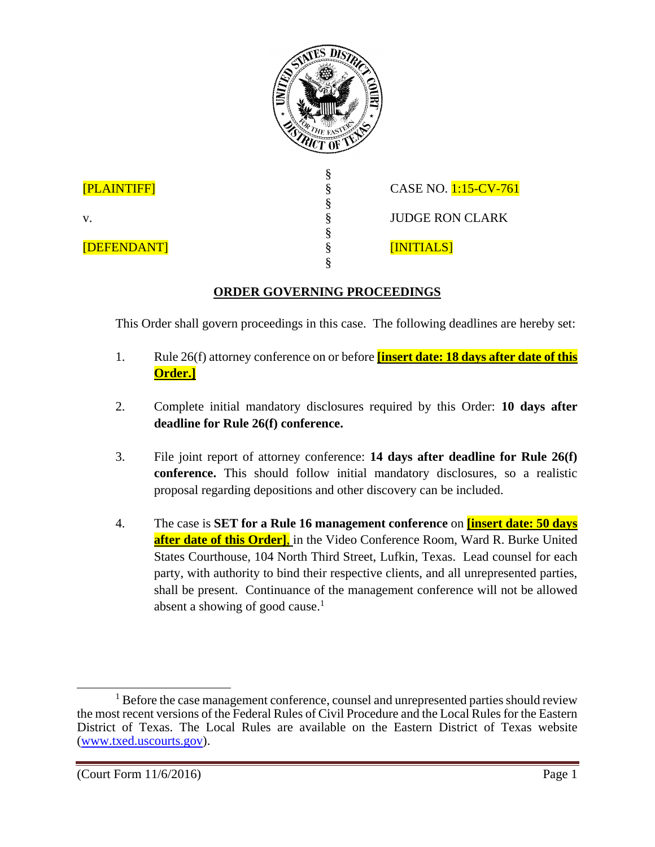

## **ORDER GOVERNING PROCEEDINGS**

This Order shall govern proceedings in this case. The following deadlines are hereby set:

- 1. Rule 26(f) attorney conference on or before **[insert date: 18 days after date of this Order.]**
- 2. Complete initial mandatory disclosures required by this Order: **10 days after deadline for Rule 26(f) conference.**
- 3. File joint report of attorney conference: **14 days after deadline for Rule 26(f) conference.** This should follow initial mandatory disclosures, so a realistic proposal regarding depositions and other discovery can be included.
- 4. The case is **SET for a Rule 16 management conference** on **[insert date: 50 days after date of this Order]**, in the Video Conference Room, Ward R. Burke United States Courthouse, 104 North Third Street, Lufkin, Texas. Lead counsel for each party, with authority to bind their respective clients, and all unrepresented parties, shall be present. Continuance of the management conference will not be allowed absent a showing of good cause.<sup>1</sup>

v.

 $\overline{a}$ <sup>1</sup> Before the case management conference, counsel and unrepresented parties should review the most recent versions of the Federal Rules of Civil Procedure and the Local Rules for the Eastern District of Texas. The Local Rules are available on the Eastern District of Texas website (www.txed.uscourts.gov).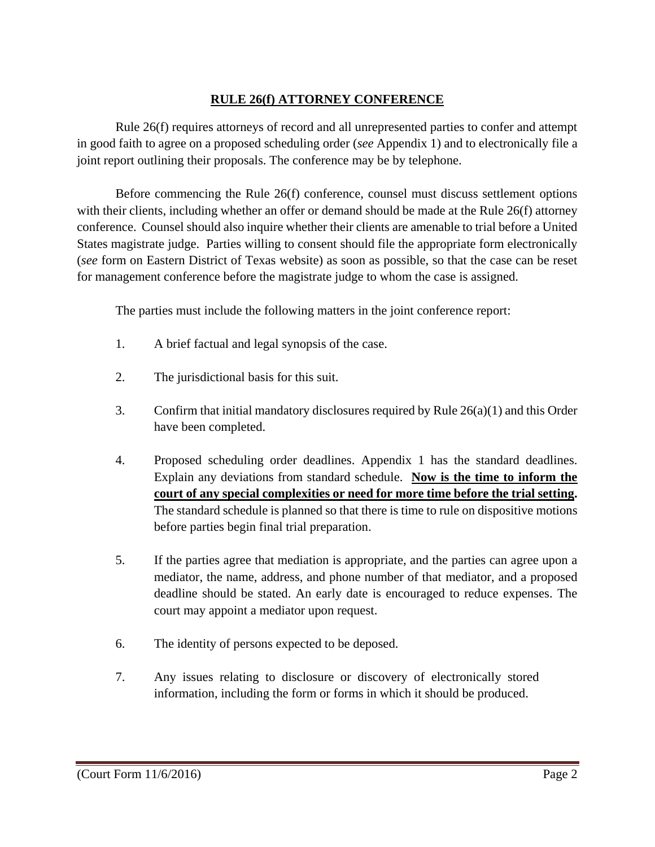## **RULE 26(f) ATTORNEY CONFERENCE**

Rule 26(f) requires attorneys of record and all unrepresented parties to confer and attempt in good faith to agree on a proposed scheduling order (*see* Appendix 1) and to electronically file a joint report outlining their proposals. The conference may be by telephone.

Before commencing the Rule 26(f) conference, counsel must discuss settlement options with their clients, including whether an offer or demand should be made at the Rule 26(f) attorney conference. Counsel should also inquire whether their clients are amenable to trial before a United States magistrate judge. Parties willing to consent should file the appropriate form electronically (*see* form on Eastern District of Texas website) as soon as possible, so that the case can be reset for management conference before the magistrate judge to whom the case is assigned.

The parties must include the following matters in the joint conference report:

- 1. A brief factual and legal synopsis of the case.
- 2. The jurisdictional basis for this suit.
- 3. Confirm that initial mandatory disclosures required by Rule 26(a)(1) and this Order have been completed.
- 4. Proposed scheduling order deadlines. Appendix 1 has the standard deadlines. Explain any deviations from standard schedule. **Now is the time to inform the court of any special complexities or need for more time before the trial setting.**  The standard schedule is planned so that there is time to rule on dispositive motions before parties begin final trial preparation.
- 5. If the parties agree that mediation is appropriate, and the parties can agree upon a mediator, the name, address, and phone number of that mediator, and a proposed deadline should be stated. An early date is encouraged to reduce expenses. The court may appoint a mediator upon request.
- 6. The identity of persons expected to be deposed.
- 7. Any issues relating to disclosure or discovery of electronically stored information, including the form or forms in which it should be produced.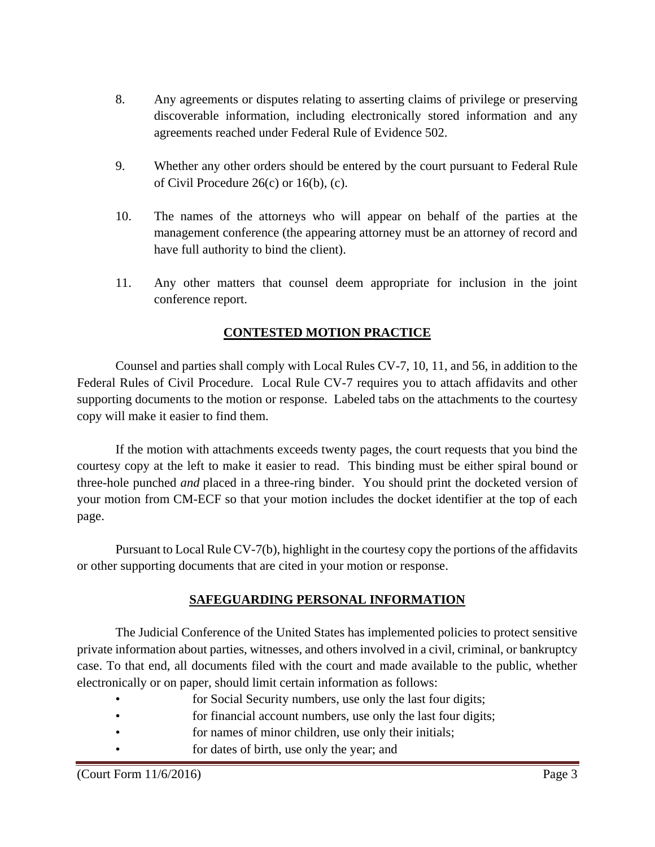- 8. Any agreements or disputes relating to asserting claims of privilege or preserving discoverable information, including electronically stored information and any agreements reached under Federal Rule of Evidence 502.
- 9. Whether any other orders should be entered by the court pursuant to Federal Rule of Civil Procedure 26(c) or 16(b), (c).
- 10. The names of the attorneys who will appear on behalf of the parties at the management conference (the appearing attorney must be an attorney of record and have full authority to bind the client).
- 11. Any other matters that counsel deem appropriate for inclusion in the joint conference report.

## **CONTESTED MOTION PRACTICE**

Counsel and parties shall comply with Local Rules CV-7, 10, 11, and 56, in addition to the Federal Rules of Civil Procedure. Local Rule CV-7 requires you to attach affidavits and other supporting documents to the motion or response. Labeled tabs on the attachments to the courtesy copy will make it easier to find them.

If the motion with attachments exceeds twenty pages, the court requests that you bind the courtesy copy at the left to make it easier to read. This binding must be either spiral bound or three-hole punched *and* placed in a three-ring binder. You should print the docketed version of your motion from CM-ECF so that your motion includes the docket identifier at the top of each page.

Pursuant to Local Rule CV-7(b), highlight in the courtesy copy the portions of the affidavits or other supporting documents that are cited in your motion or response.

## **SAFEGUARDING PERSONAL INFORMATION**

The Judicial Conference of the United States has implemented policies to protect sensitive private information about parties, witnesses, and others involved in a civil, criminal, or bankruptcy case. To that end, all documents filed with the court and made available to the public, whether electronically or on paper, should limit certain information as follows:

- for Social Security numbers, use only the last four digits;
- for financial account numbers, use only the last four digits;
- for names of minor children, use only their initials;
- for dates of birth, use only the year; and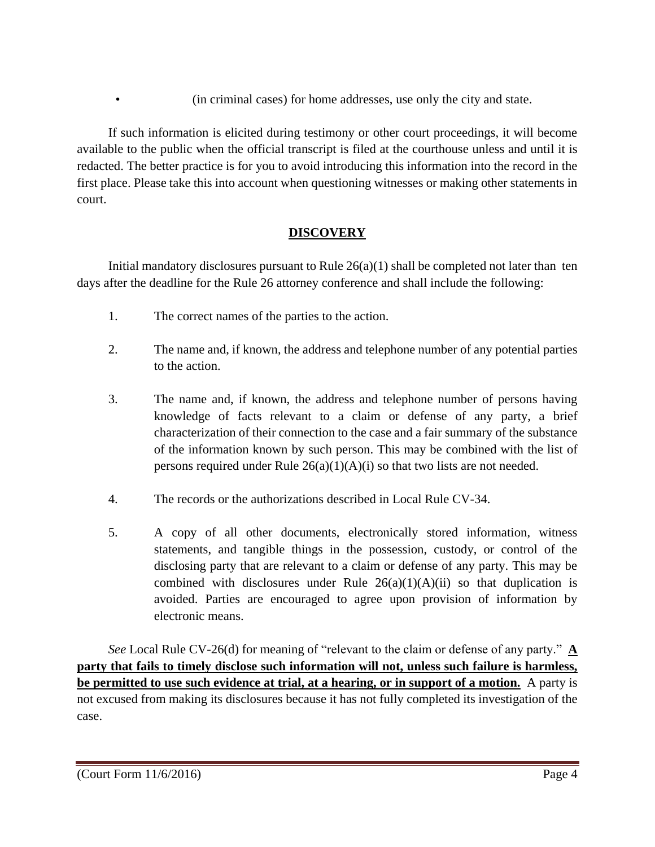• (in criminal cases) for home addresses, use only the city and state.

If such information is elicited during testimony or other court proceedings, it will become available to the public when the official transcript is filed at the courthouse unless and until it is redacted. The better practice is for you to avoid introducing this information into the record in the first place. Please take this into account when questioning witnesses or making other statements in court.

## **DISCOVERY**

Initial mandatory disclosures pursuant to Rule  $26(a)(1)$  shall be completed not later than ten days after the deadline for the Rule 26 attorney conference and shall include the following:

- 1. The correct names of the parties to the action.
- 2. The name and, if known, the address and telephone number of any potential parties to the action.
- 3. The name and, if known, the address and telephone number of persons having knowledge of facts relevant to a claim or defense of any party, a brief characterization of their connection to the case and a fair summary of the substance of the information known by such person. This may be combined with the list of persons required under Rule  $26(a)(1)(A)(i)$  so that two lists are not needed.
- 4. The records or the authorizations described in Local Rule CV-34.
- 5. A copy of all other documents, electronically stored information, witness statements, and tangible things in the possession, custody, or control of the disclosing party that are relevant to a claim or defense of any party. This may be combined with disclosures under Rule  $26(a)(1)(A)(ii)$  so that duplication is avoided. Parties are encouraged to agree upon provision of information by electronic means.

*See* Local Rule CV-26(d) for meaning of "relevant to the claim or defense of any party." **A party that fails to timely disclose such information will not, unless such failure is harmless, be permitted to use such evidence at trial, at a hearing, or in support of a motion.** A party is not excused from making its disclosures because it has not fully completed its investigation of the case.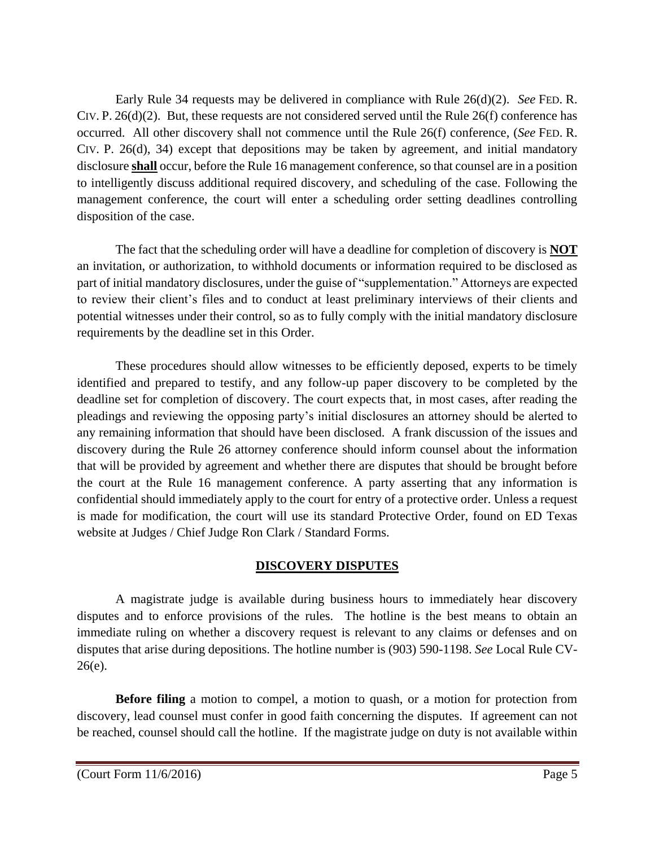Early Rule 34 requests may be delivered in compliance with Rule 26(d)(2). *See* FED. R. CIV. P. 26(d)(2). But, these requests are not considered served until the Rule 26(f) conference has occurred. All other discovery shall not commence until the Rule 26(f) conference, (*See* FED. R. CIV. P. 26(d), 34) except that depositions may be taken by agreement, and initial mandatory disclosure **shall** occur, before the Rule 16 management conference, so that counsel are in a position to intelligently discuss additional required discovery, and scheduling of the case. Following the management conference, the court will enter a scheduling order setting deadlines controlling disposition of the case.

The fact that the scheduling order will have a deadline for completion of discovery is **NOT** an invitation, or authorization, to withhold documents or information required to be disclosed as part of initial mandatory disclosures, under the guise of "supplementation." Attorneys are expected to review their client's files and to conduct at least preliminary interviews of their clients and potential witnesses under their control, so as to fully comply with the initial mandatory disclosure requirements by the deadline set in this Order.

These procedures should allow witnesses to be efficiently deposed, experts to be timely identified and prepared to testify, and any follow-up paper discovery to be completed by the deadline set for completion of discovery. The court expects that, in most cases, after reading the pleadings and reviewing the opposing party's initial disclosures an attorney should be alerted to any remaining information that should have been disclosed. A frank discussion of the issues and discovery during the Rule 26 attorney conference should inform counsel about the information that will be provided by agreement and whether there are disputes that should be brought before the court at the Rule 16 management conference. A party asserting that any information is confidential should immediately apply to the court for entry of a protective order. Unless a request is made for modification, the court will use its standard Protective Order, found on ED Texas website at Judges / Chief Judge Ron Clark / Standard Forms.

## **DISCOVERY DISPUTES**

A magistrate judge is available during business hours to immediately hear discovery disputes and to enforce provisions of the rules. The hotline is the best means to obtain an immediate ruling on whether a discovery request is relevant to any claims or defenses and on disputes that arise during depositions. The hotline number is (903) 590-1198. *See* Local Rule CV-26(e).

**Before filing** a motion to compel, a motion to quash, or a motion for protection from discovery, lead counsel must confer in good faith concerning the disputes. If agreement can not be reached, counsel should call the hotline. If the magistrate judge on duty is not available within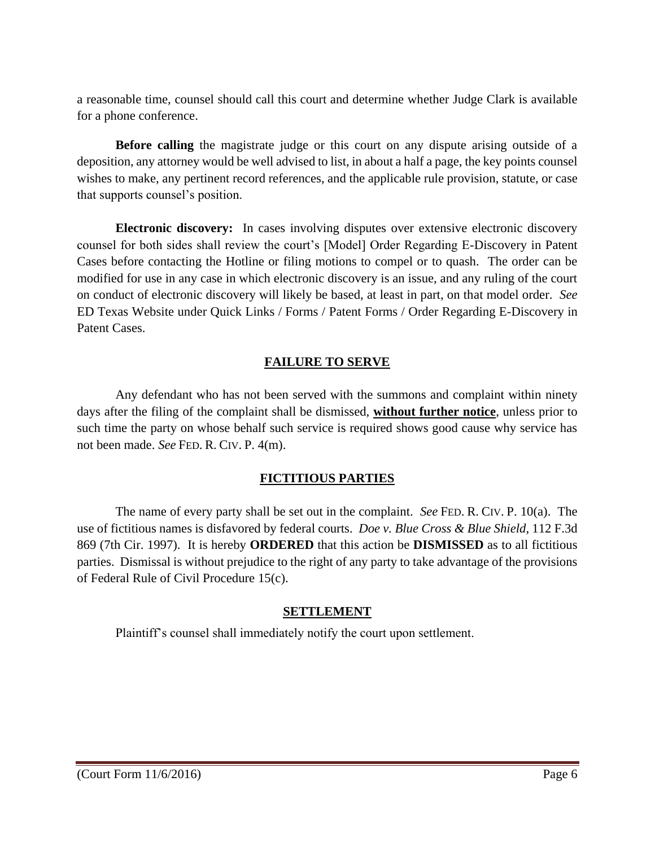a reasonable time, counsel should call this court and determine whether Judge Clark is available for a phone conference.

**Before calling** the magistrate judge or this court on any dispute arising outside of a deposition, any attorney would be well advised to list, in about a half a page, the key points counsel wishes to make, any pertinent record references, and the applicable rule provision, statute, or case that supports counsel's position.

**Electronic discovery:** In cases involving disputes over extensive electronic discovery counsel for both sides shall review the court's [Model] Order Regarding E-Discovery in Patent Cases before contacting the Hotline or filing motions to compel or to quash. The order can be modified for use in any case in which electronic discovery is an issue, and any ruling of the court on conduct of electronic discovery will likely be based, at least in part, on that model order. *See*  ED Texas Website under Quick Links / Forms / Patent Forms / Order Regarding E-Discovery in Patent Cases.

## **FAILURE TO SERVE**

Any defendant who has not been served with the summons and complaint within ninety days after the filing of the complaint shall be dismissed, **without further notice**, unless prior to such time the party on whose behalf such service is required shows good cause why service has not been made. *See* FED. R. CIV. P. 4(m).

## **FICTITIOUS PARTIES**

The name of every party shall be set out in the complaint. *See* FED. R. CIV. P. 10(a). The use of fictitious names is disfavored by federal courts. *Doe v. Blue Cross & Blue Shield*, 112 F.3d 869 (7th Cir. 1997). It is hereby **ORDERED** that this action be **DISMISSED** as to all fictitious parties. Dismissal is without prejudice to the right of any party to take advantage of the provisions of Federal Rule of Civil Procedure 15(c).

## **SETTLEMENT**

Plaintiff's counsel shall immediately notify the court upon settlement.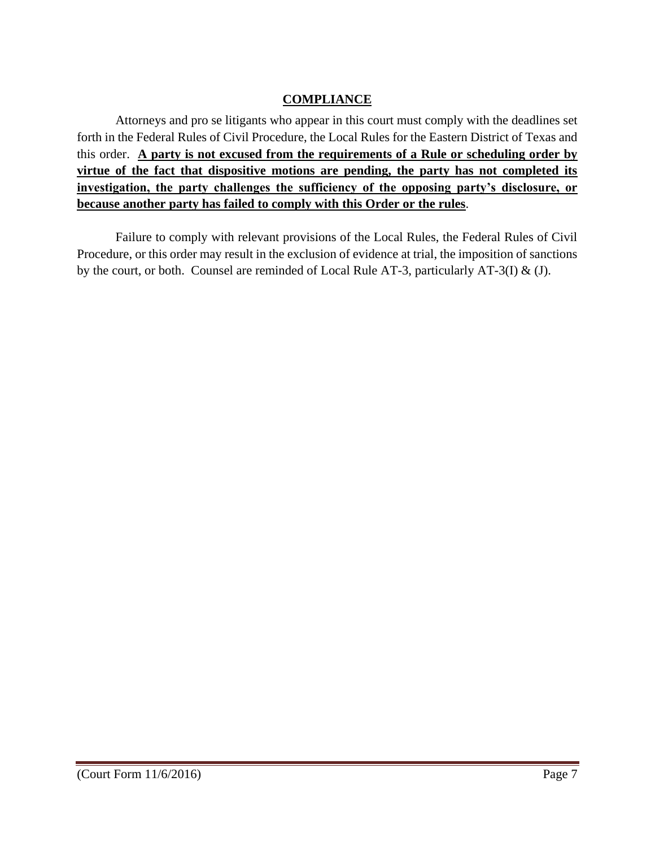## **COMPLIANCE**

Attorneys and pro se litigants who appear in this court must comply with the deadlines set forth in the Federal Rules of Civil Procedure, the Local Rules for the Eastern District of Texas and this order. **A party is not excused from the requirements of a Rule or scheduling order by virtue of the fact that dispositive motions are pending, the party has not completed its investigation, the party challenges the sufficiency of the opposing party's disclosure, or because another party has failed to comply with this Order or the rules**.

Failure to comply with relevant provisions of the Local Rules, the Federal Rules of Civil Procedure, or this order may result in the exclusion of evidence at trial, the imposition of sanctions by the court, or both. Counsel are reminded of Local Rule AT-3, particularly AT-3(I) & (J).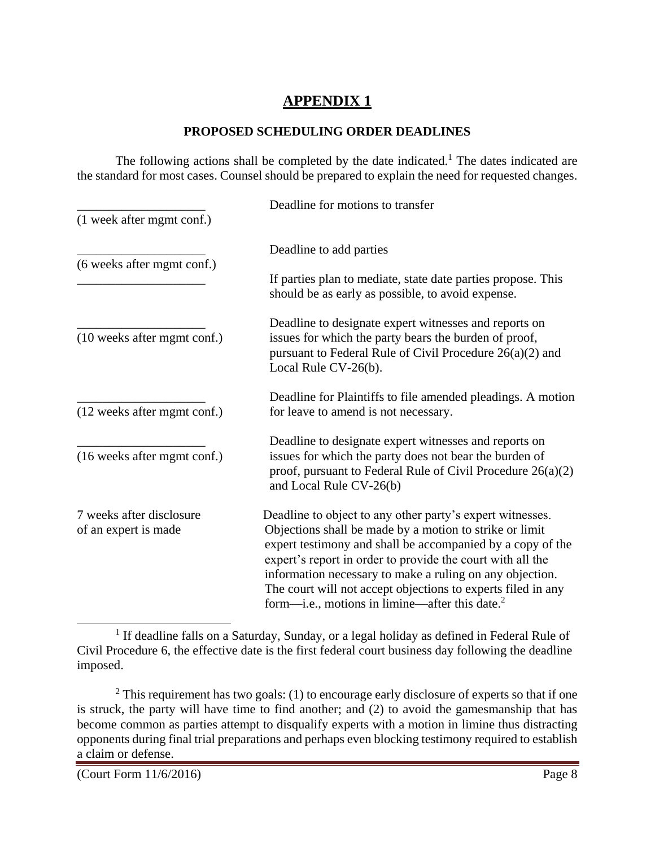# **APPENDIX 1**

#### **PROPOSED SCHEDULING ORDER DEADLINES**

The following actions shall be completed by the date indicated.<sup>1</sup> The dates indicated are the standard for most cases. Counsel should be prepared to explain the need for requested changes.

|                                                  | Deadline for motions to transfer                                                                                                                                                                                                                                                                                                                                                                                                  |
|--------------------------------------------------|-----------------------------------------------------------------------------------------------------------------------------------------------------------------------------------------------------------------------------------------------------------------------------------------------------------------------------------------------------------------------------------------------------------------------------------|
| (1 week after mgmt conf.)                        |                                                                                                                                                                                                                                                                                                                                                                                                                                   |
| (6 weeks after mgmt conf.)                       | Deadline to add parties                                                                                                                                                                                                                                                                                                                                                                                                           |
|                                                  | If parties plan to mediate, state date parties propose. This<br>should be as early as possible, to avoid expense.                                                                                                                                                                                                                                                                                                                 |
| (10 weeks after mgmt conf.)                      | Deadline to designate expert witnesses and reports on<br>issues for which the party bears the burden of proof,<br>pursuant to Federal Rule of Civil Procedure $26(a)(2)$ and<br>Local Rule CV-26(b).                                                                                                                                                                                                                              |
| (12 weeks after mgmt conf.)                      | Deadline for Plaintiffs to file amended pleadings. A motion<br>for leave to amend is not necessary.                                                                                                                                                                                                                                                                                                                               |
| (16 weeks after mgmt conf.)                      | Deadline to designate expert witnesses and reports on<br>issues for which the party does not bear the burden of<br>proof, pursuant to Federal Rule of Civil Procedure $26(a)(2)$<br>and Local Rule CV-26(b)                                                                                                                                                                                                                       |
| 7 weeks after disclosure<br>of an expert is made | Deadline to object to any other party's expert witnesses.<br>Objections shall be made by a motion to strike or limit<br>expert testimony and shall be accompanied by a copy of the<br>expert's report in order to provide the court with all the<br>information necessary to make a ruling on any objection.<br>The court will not accept objections to experts filed in any<br>form—i.e., motions in limine—after this date. $2$ |

<sup>&</sup>lt;sup>1</sup> If deadline falls on a Saturday, Sunday, or a legal holiday as defined in Federal Rule of Civil Procedure 6, the effective date is the first federal court business day following the deadline imposed.

 $\overline{a}$ 

 $2$  This requirement has two goals: (1) to encourage early disclosure of experts so that if one is struck, the party will have time to find another; and (2) to avoid the gamesmanship that has become common as parties attempt to disqualify experts with a motion in limine thus distracting opponents during final trial preparations and perhaps even blocking testimony required to establish a claim or defense.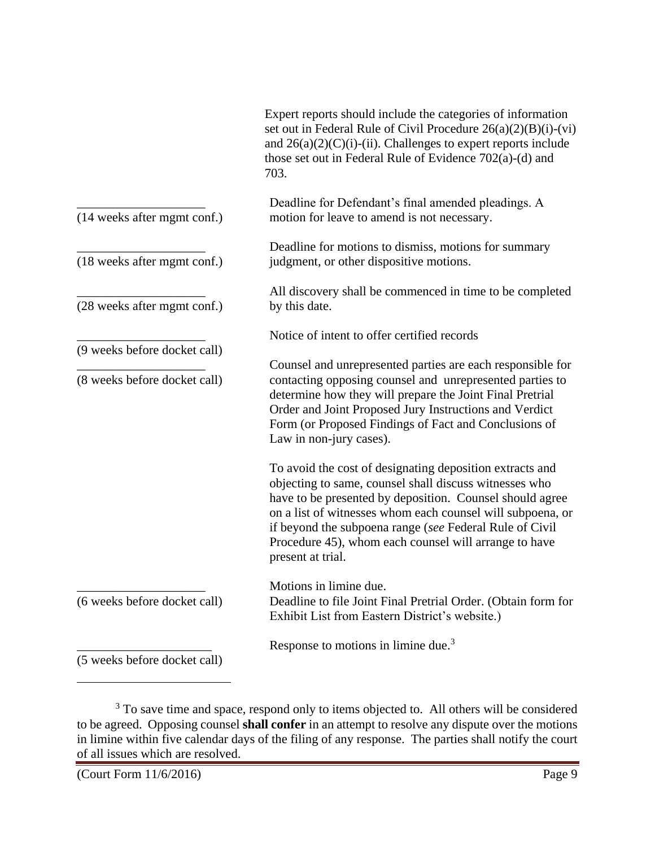|                                                              | Expert reports should include the categories of information<br>set out in Federal Rule of Civil Procedure $26(a)(2)(B)(i)-(vi)$<br>and $26(a)(2)(C)(i)$ -(ii). Challenges to expert reports include<br>those set out in Federal Rule of Evidence 702(a)-(d) and<br>703.                                                                                                               |
|--------------------------------------------------------------|---------------------------------------------------------------------------------------------------------------------------------------------------------------------------------------------------------------------------------------------------------------------------------------------------------------------------------------------------------------------------------------|
| (14 weeks after mgmt conf.)                                  | Deadline for Defendant's final amended pleadings. A<br>motion for leave to amend is not necessary.                                                                                                                                                                                                                                                                                    |
| (18 weeks after mgmt conf.)                                  | Deadline for motions to dismiss, motions for summary<br>judgment, or other dispositive motions.                                                                                                                                                                                                                                                                                       |
| (28 weeks after mgmt conf.)                                  | All discovery shall be commenced in time to be completed<br>by this date.                                                                                                                                                                                                                                                                                                             |
|                                                              | Notice of intent to offer certified records                                                                                                                                                                                                                                                                                                                                           |
| (9 weeks before docket call)<br>(8 weeks before docket call) | Counsel and unrepresented parties are each responsible for<br>contacting opposing counsel and unrepresented parties to<br>determine how they will prepare the Joint Final Pretrial<br>Order and Joint Proposed Jury Instructions and Verdict<br>Form (or Proposed Findings of Fact and Conclusions of<br>Law in non-jury cases).                                                      |
|                                                              | To avoid the cost of designating deposition extracts and<br>objecting to same, counsel shall discuss witnesses who<br>have to be presented by deposition. Counsel should agree<br>on a list of witnesses whom each counsel will subpoena, or<br>if beyond the subpoena range (see Federal Rule of Civil<br>Procedure 45), whom each counsel will arrange to have<br>present at trial. |
| (6 weeks before docket call)                                 | Motions in limine due.<br>Deadline to file Joint Final Pretrial Order. (Obtain form for<br>Exhibit List from Eastern District's website.)                                                                                                                                                                                                                                             |
| (5 weeks before docket call)                                 | Response to motions in limine due. <sup>3</sup>                                                                                                                                                                                                                                                                                                                                       |

 $3$  To save time and space, respond only to items objected to. All others will be considered to be agreed. Opposing counsel **shall confer** in an attempt to resolve any dispute over the motions in limine within five calendar days of the filing of any response. The parties shall notify the court of all issues which are resolved.

 $\overline{a}$